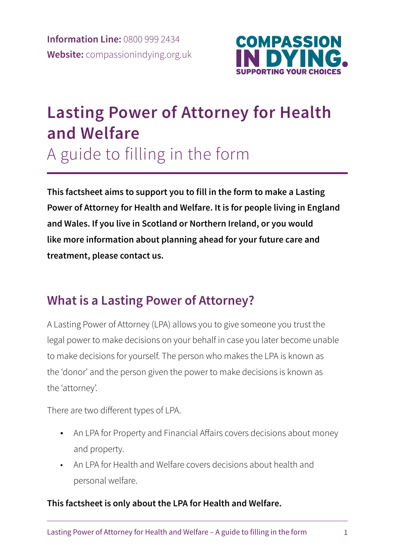

# **Lasting Power of Attorney for Health and Welfare**

A guide to filling in the form

**This factsheet aims to support you to fill in the form to make a Lasting Power of Attorney for Health and Welfare. It is for people living in England and Wales. If you live in Scotland or Northern Ireland, or you would like more information about planning ahead for your future care and treatment, please contact us.** 

# **What is a Lasting Power of Attorney?**

A Lasting Power of Attorney (LPA) allows you to give someone you trust the legal power to make decisions on your behalf in case you later become unable to make decisions for yourself. The person who makes the LPA is known as the 'donor' and the person given the power to make decisions is known as the 'attorney'.

There are two different types of LPA.

- An LPA for Property and Financial Affairs covers decisions about money and property.
- An LPA for Health and Welfare covers decisions about health and personal welfare.

### **This factsheet is only about the LPA for Health and Welfare.**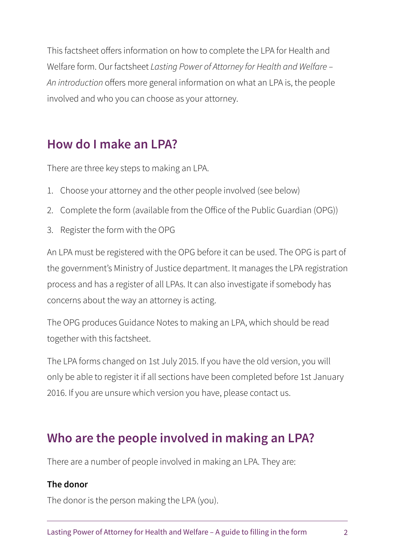This factsheet offers information on how to complete the LPA for Health and Welfare form. Our factsheet *Lasting Power of Attorney for Health and Welfare – An introduction* offers more general information on what an LPA is, the people involved and who you can choose as your attorney.

# **How do I make an LPA?**

There are three key steps to making an LPA.

- 1. Choose your attorney and the other people involved (see below)
- 2. Complete the form (available from the Office of the Public Guardian (OPG))
- 3. Register the form with the OPG

An LPA must be registered with the OPG before it can be used. The OPG is part of the government's Ministry of Justice department. It manages the LPA registration process and has a register of all LPAs. It can also investigate if somebody has concerns about the way an attorney is acting.

The OPG produces Guidance Notes to making an LPA, which should be read together with this factsheet.

The LPA forms changed on 1st July 2015. If you have the old version, you will only be able to register it if all sections have been completed before 1st January 2016. If you are unsure which version you have, please contact us.

## **Who are the people involved in making an LPA?**

There are a number of people involved in making an LPA. They are:

#### **The donor**

The donor is the person making the LPA (you).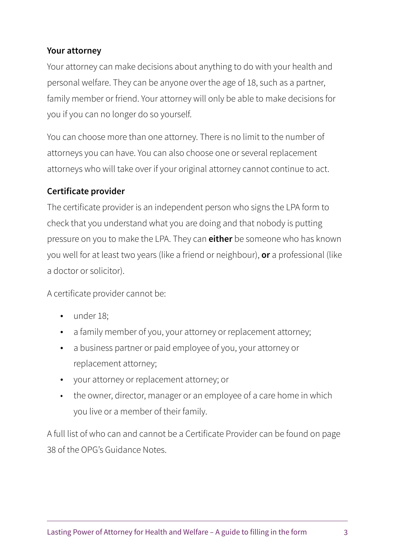#### **Your attorney**

Your attorney can make decisions about anything to do with your health and personal welfare. They can be anyone over the age of 18, such as a partner, family member or friend. Your attorney will only be able to make decisions for you if you can no longer do so yourself.

You can choose more than one attorney. There is no limit to the number of attorneys you can have. You can also choose one or several replacement attorneys who will take over if your original attorney cannot continue to act.

#### **Certificate provider**

The certificate provider is an independent person who signs the LPA form to check that you understand what you are doing and that nobody is putting pressure on you to make the LPA. They can **either** be someone who has known you well for at least two years (like a friend or neighbour), **or** a professional (like a doctor or solicitor).

A certificate provider cannot be:

- under 18;
- a family member of you, your attorney or replacement attorney;
- a business partner or paid employee of you, your attorney or replacement attorney;
- your attorney or replacement attorney; or
- the owner, director, manager or an employee of a care home in which you live or a member of their family.

A full list of who can and cannot be a Certificate Provider can be found on page 38 of the OPG's Guidance Notes.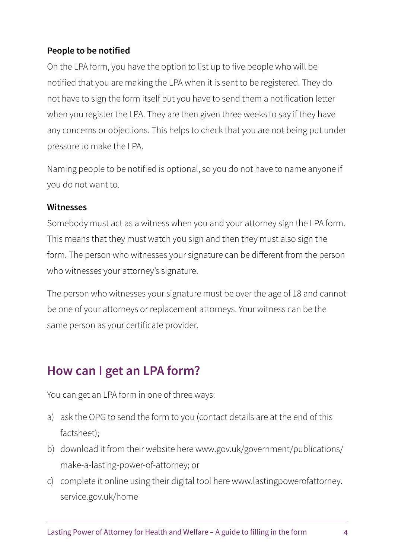### **People to be notified**

On the LPA form, you have the option to list up to five people who will be notified that you are making the LPA when it is sent to be registered. They do not have to sign the form itself but you have to send them a notification letter when you register the LPA. They are then given three weeks to say if they have any concerns or objections. This helps to check that you are not being put under pressure to make the LPA.

Naming people to be notified is optional, so you do not have to name anyone if you do not want to.

#### **Witnesses**

Somebody must act as a witness when you and your attorney sign the LPA form. This means that they must watch you sign and then they must also sign the form. The person who witnesses your signature can be different from the person who witnesses your attorney's signature.

The person who witnesses your signature must be over the age of 18 and cannot be one of your attorneys or replacement attorneys. Your witness can be the same person as your certificate provider.

# **How can I get an LPA form?**

You can get an LPA form in one of three ways:

- a) ask the OPG to send the form to you (contact details are at the end of this factsheet);
- b) download it from their website here www.gov.uk/government/publications/ make-a-lasting-power-of-attorney; or
- c) complete it online using their digital tool here www.lastingpowerofattorney. service.gov.uk/home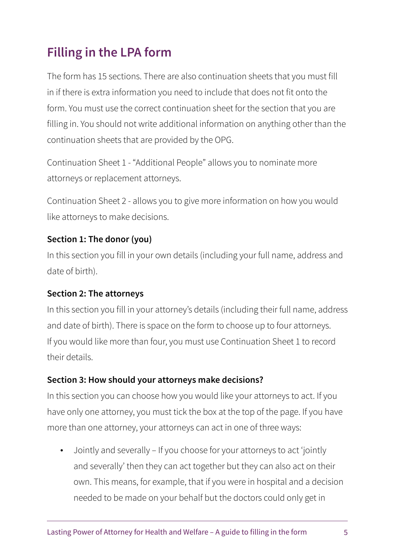# **Filling in the LPA form**

The form has 15 sections. There are also continuation sheets that you must fill in if there is extra information you need to include that does not fit onto the form. You must use the correct continuation sheet for the section that you are filling in. You should not write additional information on anything other than the continuation sheets that are provided by the OPG.

Continuation Sheet 1 - "Additional People" allows you to nominate more attorneys or replacement attorneys.

Continuation Sheet 2 - allows you to give more information on how you would like attorneys to make decisions.

#### **Section 1: The donor (you)**

In this section you fill in your own details (including your full name, address and date of birth).

#### **Section 2: The attorneys**

In this section you fill in your attorney's details (including their full name, address and date of birth). There is space on the form to choose up to four attorneys. If you would like more than four, you must use Continuation Sheet 1 to record their details.

#### **Section 3: How should your attorneys make decisions?**

In this section you can choose how you would like your attorneys to act. If you have only one attorney, you must tick the box at the top of the page. If you have more than one attorney, your attorneys can act in one of three ways:

• Jointly and severally – If you choose for your attorneys to act 'jointly and severally' then they can act together but they can also act on their own. This means, for example, that if you were in hospital and a decision needed to be made on your behalf but the doctors could only get in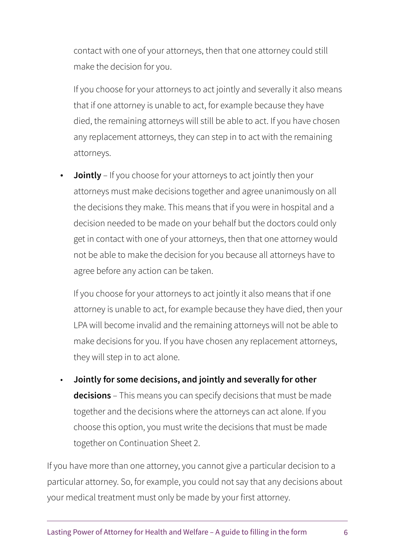contact with one of your attorneys, then that one attorney could still make the decision for you.

If you choose for your attorneys to act jointly and severally it also means that if one attorney is unable to act, for example because they have died, the remaining attorneys will still be able to act. If you have chosen any replacement attorneys, they can step in to act with the remaining attorneys.

• **Jointly** – If you choose for your attorneys to act jointly then your attorneys must make decisions together and agree unanimously on all the decisions they make. This means that if you were in hospital and a decision needed to be made on your behalf but the doctors could only get in contact with one of your attorneys, then that one attorney would not be able to make the decision for you because all attorneys have to agree before any action can be taken.

If you choose for your attorneys to act jointly it also means that if one attorney is unable to act, for example because they have died, then your LPA will become invalid and the remaining attorneys will not be able to make decisions for you. If you have chosen any replacement attorneys, they will step in to act alone.

• **Jointly for some decisions, and jointly and severally for other decisions** – This means you can specify decisions that must be made together and the decisions where the attorneys can act alone. If you choose this option, you must write the decisions that must be made together on Continuation Sheet 2.

If you have more than one attorney, you cannot give a particular decision to a particular attorney. So, for example, you could not say that any decisions about your medical treatment must only be made by your first attorney.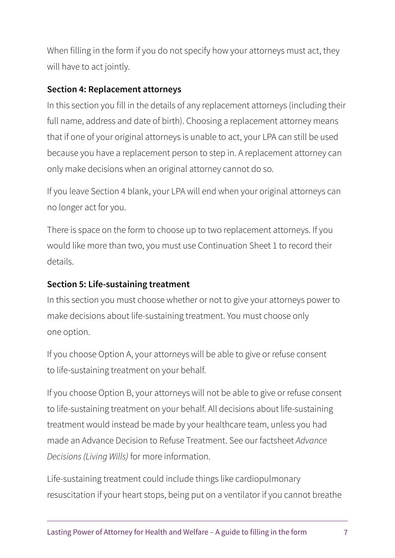When filling in the form if you do not specify how your attorneys must act, they will have to act jointly.

#### **Section 4: Replacement attorneys**

In this section you fill in the details of any replacement attorneys (including their full name, address and date of birth). Choosing a replacement attorney means that if one of your original attorneys is unable to act, your LPA can still be used because you have a replacement person to step in. A replacement attorney can only make decisions when an original attorney cannot do so.

If you leave Section 4 blank, your LPA will end when your original attorneys can no longer act for you.

There is space on the form to choose up to two replacement attorneys. If you would like more than two, you must use Continuation Sheet 1 to record their details.

### **Section 5: Life-sustaining treatment**

In this section you must choose whether or not to give your attorneys power to make decisions about life-sustaining treatment. You must choose only one option.

If you choose Option A, your attorneys will be able to give or refuse consent to life-sustaining treatment on your behalf.

If you choose Option B, your attorneys will not be able to give or refuse consent to life-sustaining treatment on your behalf. All decisions about life-sustaining treatment would instead be made by your healthcare team, unless you had made an Advance Decision to Refuse Treatment. See our factsheet *Advance Decisions (Living Wills)* for more information.

Life-sustaining treatment could include things like cardiopulmonary resuscitation if your heart stops, being put on a ventilator if you cannot breathe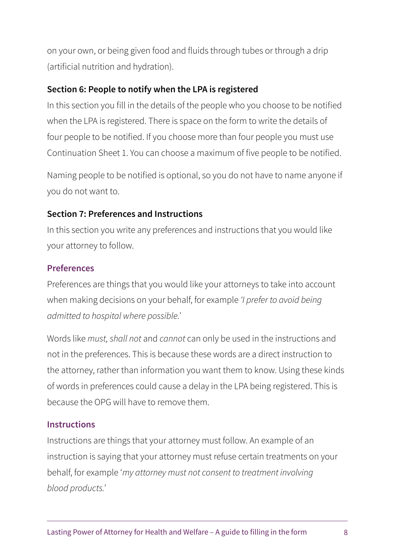on your own, or being given food and fluids through tubes or through a drip (artificial nutrition and hydration).

#### **Section 6: People to notify when the LPA is registered**

In this section you fill in the details of the people who you choose to be notified when the LPA is registered. There is space on the form to write the details of four people to be notified. If you choose more than four people you must use Continuation Sheet 1. You can choose a maximum of five people to be notified.

Naming people to be notified is optional, so you do not have to name anyone if you do not want to.

#### **Section 7: Preferences and Instructions**

In this section you write any preferences and instructions that you would like your attorney to follow.

#### **Preferences**

Preferences are things that you would like your attorneys to take into account when making decisions on your behalf, for example *'I prefer to avoid being admitted to hospital where possible.'*

Words like *must, shall not* and *cannot* can only be used in the instructions and not in the preferences. This is because these words are a direct instruction to the attorney, rather than information you want them to know. Using these kinds of words in preferences could cause a delay in the LPA being registered. This is because the OPG will have to remove them.

#### **Instructions**

Instructions are things that your attorney must follow. An example of an instruction is saying that your attorney must refuse certain treatments on your behalf, for example '*my attorney must not consent to treatment involving blood products.'*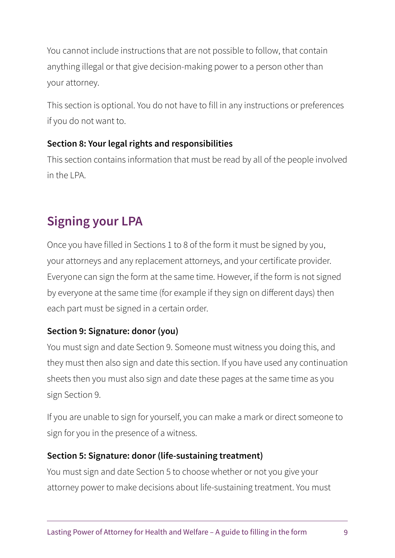You cannot include instructions that are not possible to follow, that contain anything illegal or that give decision-making power to a person other than your attorney.

This section is optional. You do not have to fill in any instructions or preferences if you do not want to.

### **Section 8: Your legal rights and responsibilities**

This section contains information that must be read by all of the people involved in the LPA.

# **Signing your LPA**

Once you have filled in Sections 1 to 8 of the form it must be signed by you, your attorneys and any replacement attorneys, and your certificate provider. Everyone can sign the form at the same time. However, if the form is not signed by everyone at the same time (for example if they sign on different days) then each part must be signed in a certain order.

### **Section 9: Signature: donor (you)**

You must sign and date Section 9. Someone must witness you doing this, and they must then also sign and date this section. If you have used any continuation sheets then you must also sign and date these pages at the same time as you sign Section 9.

If you are unable to sign for yourself, you can make a mark or direct someone to sign for you in the presence of a witness.

#### **Section 5: Signature: donor (life-sustaining treatment)**

You must sign and date Section 5 to choose whether or not you give your attorney power to make decisions about life-sustaining treatment. You must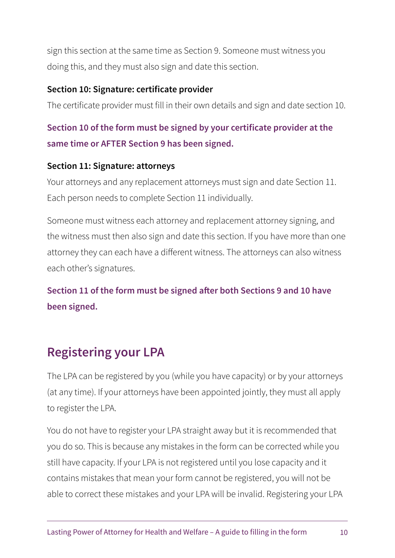sign this section at the same time as Section 9. Someone must witness you doing this, and they must also sign and date this section.

#### **Section 10: Signature: certificate provider**

The certificate provider must fill in their own details and sign and date section 10.

### **Section 10 of the form must be signed by your certificate provider at the same time or AFTER Section 9 has been signed.**

#### **Section 11: Signature: attorneys**

Your attorneys and any replacement attorneys must sign and date Section 11. Each person needs to complete Section 11 individually.

Someone must witness each attorney and replacement attorney signing, and the witness must then also sign and date this section. If you have more than one attorney they can each have a different witness. The attorneys can also witness each other's signatures.

**Section 11 of the form must be signed after both Sections 9 and 10 have been signed.**

# **Registering your LPA**

The LPA can be registered by you (while you have capacity) or by your attorneys (at any time). If your attorneys have been appointed jointly, they must all apply to register the LPA.

You do not have to register your LPA straight away but it is recommended that you do so. This is because any mistakes in the form can be corrected while you still have capacity. If your LPA is not registered until you lose capacity and it contains mistakes that mean your form cannot be registered, you will not be able to correct these mistakes and your LPA will be invalid. Registering your LPA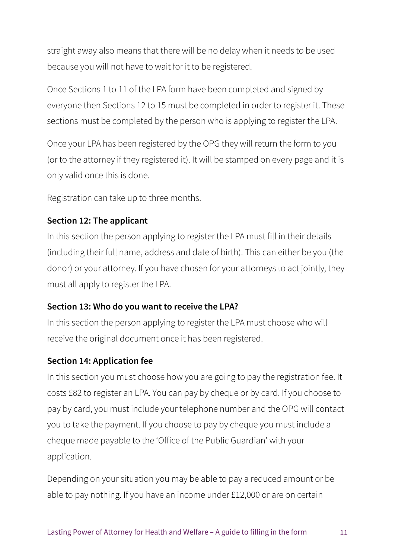straight away also means that there will be no delay when it needs to be used because you will not have to wait for it to be registered.

Once Sections 1 to 11 of the LPA form have been completed and signed by everyone then Sections 12 to 15 must be completed in order to register it. These sections must be completed by the person who is applying to register the LPA.

Once your LPA has been registered by the OPG they will return the form to you (or to the attorney if they registered it). It will be stamped on every page and it is only valid once this is done.

Registration can take up to three months.

### **Section 12: The applicant**

In this section the person applying to register the LPA must fill in their details (including their full name, address and date of birth). This can either be you (the donor) or your attorney. If you have chosen for your attorneys to act jointly, they must all apply to register the LPA.

### **Section 13: Who do you want to receive the LPA?**

In this section the person applying to register the LPA must choose who will receive the original document once it has been registered.

### **Section 14: Application fee**

In this section you must choose how you are going to pay the registration fee. It costs £82 to register an LPA. You can pay by cheque or by card. If you choose to pay by card, you must include your telephone number and the OPG will contact you to take the payment. If you choose to pay by cheque you must include a cheque made payable to the 'Office of the Public Guardian' with your application.

Depending on your situation you may be able to pay a reduced amount or be able to pay nothing. If you have an income under £12,000 or are on certain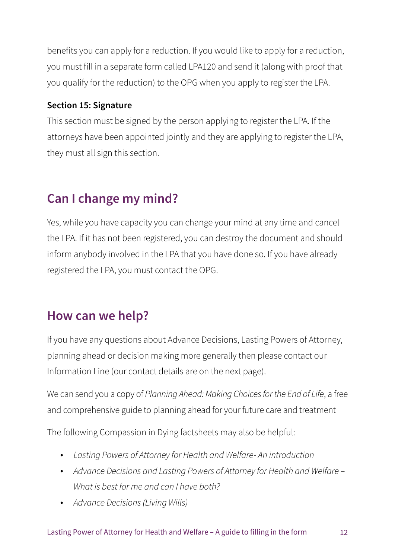benefits you can apply for a reduction. If you would like to apply for a reduction, you must fill in a separate form called LPA120 and send it (along with proof that you qualify for the reduction) to the OPG when you apply to register the LPA.

### **Section 15: Signature**

This section must be signed by the person applying to register the LPA. If the attorneys have been appointed jointly and they are applying to register the LPA, they must all sign this section.

# **Can I change my mind?**

Yes, while you have capacity you can change your mind at any time and cancel the LPA. If it has not been registered, you can destroy the document and should inform anybody involved in the LPA that you have done so. If you have already registered the LPA, you must contact the OPG.

# **How can we help?**

If you have any questions about Advance Decisions, Lasting Powers of Attorney, planning ahead or decision making more generally then please contact our Information Line (our contact details are on the next page).

We can send you a copy of *Planning Ahead: Making Choices for the End of Life*, a free and comprehensive guide to planning ahead for your future care and treatment

The following Compassion in Dying factsheets may also be helpful:

- *Lasting Powers of Attorney for Health and Welfare- An introduction*
- *Advance Decisions and Lasting Powers of Attorney for Health and Welfare – What is best for me and can I have both?*
- *Advance Decisions (Living Wills)*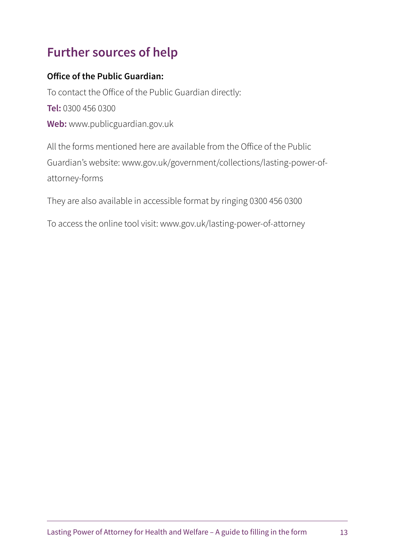# **Further sources of help**

#### **Office of the Public Guardian:**

To contact the Office of the Public Guardian directly: **Tel:** 0300 456 0300 **Web:** www.publicguardian.gov.uk

All the forms mentioned here are available from the Office of the Public Guardian's website: www.gov.uk/government/collections/lasting-power-ofattorney-forms

They are also available in accessible format by ringing 0300 456 0300

To access the online tool visit: www.gov.uk/lasting-power-of-attorney